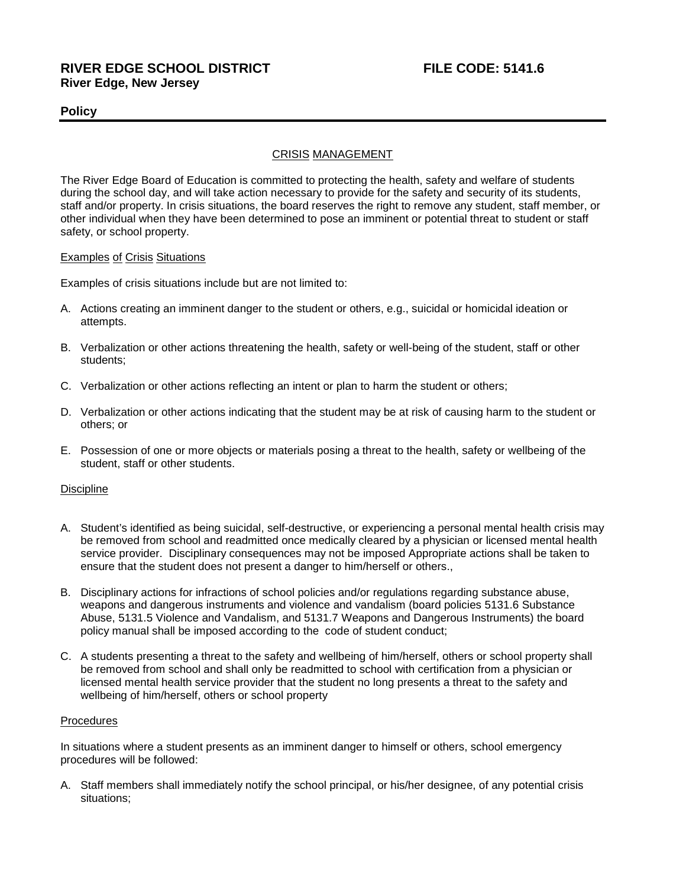## **RIVER EDGE SCHOOL DISTRICT FILE CODE: 5141.6 River Edge, New Jersey**

## **Policy**

### CRISIS MANAGEMENT

The River Edge Board of Education is committed to protecting the health, safety and welfare of students during the school day, and will take action necessary to provide for the safety and security of its students, staff and/or property. In crisis situations, the board reserves the right to remove any student, staff member, or other individual when they have been determined to pose an imminent or potential threat to student or staff safety, or school property.

#### Examples of Crisis Situations

Examples of crisis situations include but are not limited to:

- A. Actions creating an imminent danger to the student or others, e.g., suicidal or homicidal ideation or attempts.
- B. Verbalization or other actions threatening the health, safety or well-being of the student, staff or other students;
- C. Verbalization or other actions reflecting an intent or plan to harm the student or others;
- D. Verbalization or other actions indicating that the student may be at risk of causing harm to the student or others; or
- E. Possession of one or more objects or materials posing a threat to the health, safety or wellbeing of the student, staff or other students.

#### **Discipline**

- A. Student's identified as being suicidal, self-destructive, or experiencing a personal mental health crisis may be removed from school and readmitted once medically cleared by a physician or licensed mental health service provider. Disciplinary consequences may not be imposed Appropriate actions shall be taken to ensure that the student does not present a danger to him/herself or others.,
- B. Disciplinary actions for infractions of school policies and/or regulations regarding substance abuse, weapons and dangerous instruments and violence and vandalism (board policies 5131.6 Substance Abuse, 5131.5 Violence and Vandalism, and 5131.7 Weapons and Dangerous Instruments) the board policy manual shall be imposed according to the code of student conduct;
- C. A students presenting a threat to the safety and wellbeing of him/herself, others or school property shall be removed from school and shall only be readmitted to school with certification from a physician or licensed mental health service provider that the student no long presents a threat to the safety and wellbeing of him/herself, others or school property

#### **Procedures**

In situations where a student presents as an imminent danger to himself or others, school emergency procedures will be followed:

A. Staff members shall immediately notify the school principal, or his/her designee, of any potential crisis situations;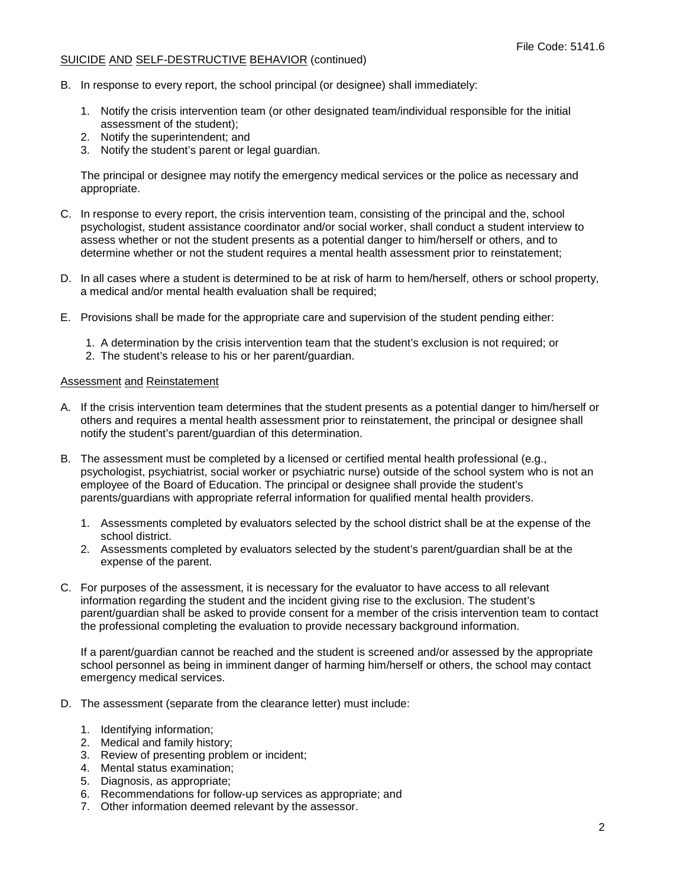#### SUICIDE AND SELF-DESTRUCTIVE BEHAVIOR (continued)

- B. In response to every report, the school principal (or designee) shall immediately:
	- 1. Notify the crisis intervention team (or other designated team/individual responsible for the initial assessment of the student);
	- 2. Notify the superintendent; and
	- 3. Notify the student's parent or legal guardian.

The principal or designee may notify the emergency medical services or the police as necessary and appropriate.

- C. In response to every report, the crisis intervention team, consisting of the principal and the, school psychologist, student assistance coordinator and/or social worker, shall conduct a student interview to assess whether or not the student presents as a potential danger to him/herself or others, and to determine whether or not the student requires a mental health assessment prior to reinstatement;
- D. In all cases where a student is determined to be at risk of harm to hem/herself, others or school property, a medical and/or mental health evaluation shall be required:
- E. Provisions shall be made for the appropriate care and supervision of the student pending either:
	- 1. A determination by the crisis intervention team that the student's exclusion is not required; or
	- 2. The student's release to his or her parent/guardian.

#### Assessment and Reinstatement

- A. If the crisis intervention team determines that the student presents as a potential danger to him/herself or others and requires a mental health assessment prior to reinstatement, the principal or designee shall notify the student's parent/guardian of this determination.
- B. The assessment must be completed by a licensed or certified mental health professional (e.g., psychologist, psychiatrist, social worker or psychiatric nurse) outside of the school system who is not an employee of the Board of Education. The principal or designee shall provide the student's parents/guardians with appropriate referral information for qualified mental health providers.
	- 1. Assessments completed by evaluators selected by the school district shall be at the expense of the school district.
	- 2. Assessments completed by evaluators selected by the student's parent/guardian shall be at the expense of the parent.
- C. For purposes of the assessment, it is necessary for the evaluator to have access to all relevant information regarding the student and the incident giving rise to the exclusion. The student's parent/guardian shall be asked to provide consent for a member of the crisis intervention team to contact the professional completing the evaluation to provide necessary background information.

If a parent/guardian cannot be reached and the student is screened and/or assessed by the appropriate school personnel as being in imminent danger of harming him/herself or others, the school may contact emergency medical services.

- D. The assessment (separate from the clearance letter) must include:
	- 1. Identifying information;
	- 2. Medical and family history;
	- 3. Review of presenting problem or incident;
	- 4. Mental status examination;
	- 5. Diagnosis, as appropriate;
	- 6. Recommendations for follow-up services as appropriate; and
	- 7. Other information deemed relevant by the assessor.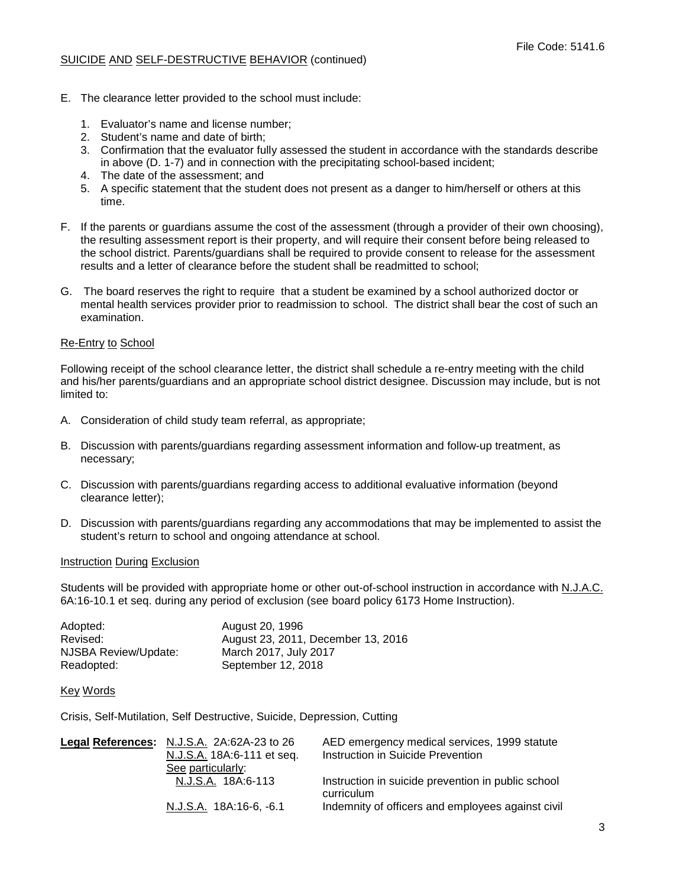#### SUICIDE AND SELF-DESTRUCTIVE BEHAVIOR (continued)

- E. The clearance letter provided to the school must include:
	- 1. Evaluator's name and license number;
	- 2. Student's name and date of birth;
	- 3. Confirmation that the evaluator fully assessed the student in accordance with the standards describe in above (D. 1-7) and in connection with the precipitating school-based incident;
	- 4. The date of the assessment; and
	- 5. A specific statement that the student does not present as a danger to him/herself or others at this time.
- F. If the parents or guardians assume the cost of the assessment (through a provider of their own choosing), the resulting assessment report is their property, and will require their consent before being released to the school district. Parents/guardians shall be required to provide consent to release for the assessment results and a letter of clearance before the student shall be readmitted to school;
- G. The board reserves the right to require that a student be examined by a school authorized doctor or mental health services provider prior to readmission to school. The district shall bear the cost of such an examination.

#### Re-Entry to School

Following receipt of the school clearance letter, the district shall schedule a re-entry meeting with the child and his/her parents/guardians and an appropriate school district designee. Discussion may include, but is not limited to:

- A. Consideration of child study team referral, as appropriate;
- B. Discussion with parents/guardians regarding assessment information and follow-up treatment, as necessary;
- C. Discussion with parents/guardians regarding access to additional evaluative information (beyond clearance letter);
- D. Discussion with parents/guardians regarding any accommodations that may be implemented to assist the student's return to school and ongoing attendance at school.

#### Instruction During Exclusion

Students will be provided with appropriate home or other out-of-school instruction in accordance with N.J.A.C. 6A:16-10.1 et seq. during any period of exclusion (see board policy 6173 Home Instruction).

| Adopted:             | August 20, 1996                    |
|----------------------|------------------------------------|
| Revised:             | August 23, 2011, December 13, 2016 |
| NJSBA Review/Update: | March 2017, July 2017              |
| Readopted:           | September 12, 2018                 |

## Key Words

Crisis, Self-Mutilation, Self Destructive, Suicide, Depression, Cutting

| Legal References: N.J.S.A. 2A:62A-23 to 26 | AED emergency medical services, 1999 statute       |
|--------------------------------------------|----------------------------------------------------|
| N.J.S.A. 18A:6-111 et seq.                 | Instruction in Suicide Prevention                  |
| See particularly:                          |                                                    |
| N.J.S.A. 18A:6-113                         | Instruction in suicide prevention in public school |
|                                            | curriculum                                         |
| N.J.S.A. 18A:16-6, -6.1                    | Indemnity of officers and employees against civil  |
|                                            |                                                    |